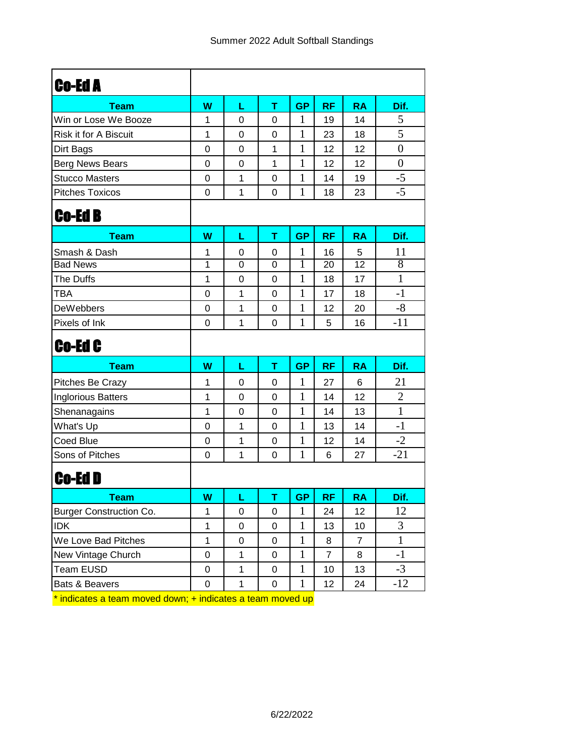| <b>Co-Ed A</b>                 |                  |              |              |              |                 |                |                  |
|--------------------------------|------------------|--------------|--------------|--------------|-----------------|----------------|------------------|
| <b>Team</b>                    | W                | L            | T            | <b>GP</b>    | <b>RF</b>       | <b>RA</b>      | Dif.             |
| Win or Lose We Booze           | 1                | 0            | 0            | 1            | 19              | 14             | 5                |
| Risk it for A Biscuit          | 1                | 0            | $\mathbf 0$  | 1            | 23              | 18             | 5                |
| Dirt Bags                      | $\boldsymbol{0}$ | 0            | 1            | $\mathbf{1}$ | 12              | 12             | $\boldsymbol{0}$ |
| Berg News Bears                | $\overline{0}$   | $\mathbf 0$  | $\mathbf{1}$ | $\mathbf{1}$ | 12              | 12             | $\overline{0}$   |
| <b>Stucco Masters</b>          | $\mathbf 0$      | 1            | 0            | 1            | 14              | 19             | $-5$             |
| <b>Pitches Toxicos</b>         | $\mathbf 0$      | 1            | $\mathbf 0$  | $\mathbf{1}$ | 18              | 23             | $-5$             |
| <b>Co-Ed B</b>                 |                  |              |              |              |                 |                |                  |
| <b>Team</b>                    | W                | L            | т            | <b>GP</b>    | <b>RF</b>       | <b>RA</b>      | Dif.             |
| Smash & Dash                   | 1                | 0            | 0            | 1            | 16              | 5              | 11               |
| <b>Bad News</b>                | 1                | 0            | $\mathbf 0$  | 1            | $\overline{20}$ | 12             | $\overline{8}$   |
| The Duffs                      | $\mathbf{1}$     | 0            | $\mathbf 0$  | 1            | 18              | 17             | $\mathbf{1}$     |
| <b>TBA</b>                     | $\boldsymbol{0}$ | 1            | $\mathbf 0$  | 1            | 17              | 18             | $-1$             |
| <b>DeWebbers</b>               | $\boldsymbol{0}$ | 1            | 0            | $\mathbf{1}$ | 12              | 20             | $-8$             |
| Pixels of Ink                  | $\mathbf 0$      | 1            | $\mathbf 0$  | $\mathbf{1}$ | 5               | 16             | $-11$            |
| Co-Ed C                        |                  |              |              |              |                 |                |                  |
| <b>Team</b>                    | W                | L            | т            | <b>GP</b>    | <b>RF</b>       | <b>RA</b>      | Dif.             |
| Pitches Be Crazy               | 1                | 0            | 0            | 1            | 27              | 6              | 21               |
| <b>Inglorious Batters</b>      | 1                | 0            | $\mathbf 0$  | $\mathbf{1}$ | 14              | 12             | $\overline{2}$   |
| Shenanagains                   | 1                | 0            | 0            | 1            | 14              | 13             | $\mathbf{1}$     |
| What's Up                      | $\mathbf 0$      | 1            | $\mathbf 0$  | $\mathbf{1}$ | 13              | 14             | $-1$             |
| Coed Blue                      | 0                | 1            | 0            | 1            | 12              | 14             | $-2$             |
| Sons of Pitches                | $\mathbf 0$      | 1            | $\mathbf 0$  | $\mathbf{1}$ | 6               | 27             | $-21$            |
| Co-Ed D                        |                  |              |              |              |                 |                |                  |
| Team                           | W                | L            | т            | GP.          | <b>RF</b>       | <b>RA</b>      | Dif.             |
| <b>Burger Construction Co.</b> | 1                | 0            | $\pmb{0}$    | $\mathbf{1}$ | 24              | 12             | 12               |
| <b>IDK</b>                     | $\mathbf 1$      | 0            | $\pmb{0}$    | $\mathbf{1}$ | 13              | 10             | 3                |
|                                |                  |              |              |              |                 |                |                  |
| We Love Bad Pitches            | 1                | 0            | $\pmb{0}$    | $\mathbf{1}$ | 8               | $\overline{7}$ | $\mathbf{1}$     |
| New Vintage Church             | $\pmb{0}$        | $\mathbf{1}$ | $\pmb{0}$    | $\mathbf{1}$ | $\overline{7}$  | 8              | $-1$             |
| <b>Team EUSD</b>               | $\pmb{0}$        | $\mathbf{1}$ | $\pmb{0}$    | $\mathbf{1}$ | 10              | 13             | $-3$             |

\* indicates a team moved down; + indicates a team moved up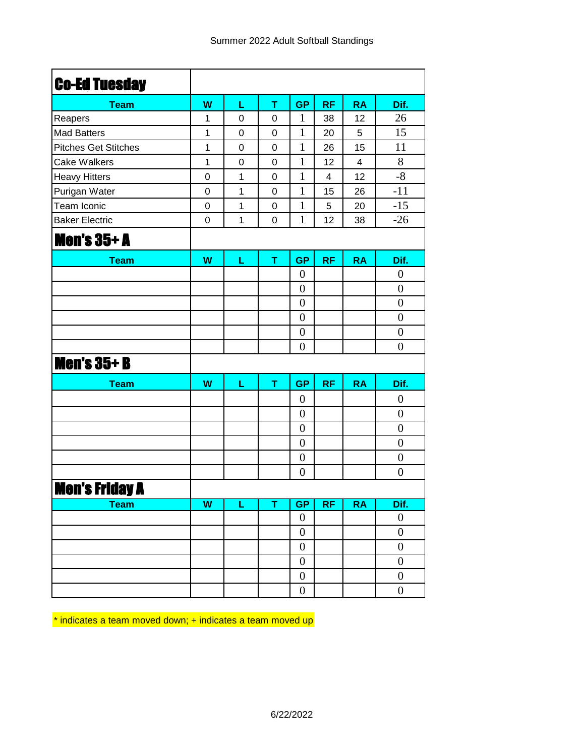| <b>Co-Ed Tuesday</b>        |                         |             |             |                  |           |                |                  |
|-----------------------------|-------------------------|-------------|-------------|------------------|-----------|----------------|------------------|
| <b>Team</b>                 | W                       | L           | T           | <b>GP</b>        | <b>RF</b> | <b>RA</b>      | Dif.             |
| Reapers                     | 1                       | 0           | 0           | $\mathbf{1}$     | 38        | 12             | 26               |
| <b>Mad Batters</b>          | 1                       | 0           | 0           | 1                | 20        | 5              | 15               |
| <b>Pitches Get Stitches</b> | 1                       | 0           | 0           | 1                | 26        | 15             | 11               |
| <b>Cake Walkers</b>         | $\mathbf{1}$            | $\mathbf 0$ | $\mathbf 0$ | 1                | 12        | $\overline{4}$ | 8                |
| <b>Heavy Hitters</b>        | 0                       | 1           | 0           | 1                | 4         | 12             | $-8$             |
| Purigan Water               | $\mathbf 0$             | 1           | 0           | $\mathbf{1}$     | 15        | 26             | $-11$            |
| Team Iconic                 | 0                       | 1           | 0           | 1                | 5         | 20             | $-15$            |
| <b>Baker Electric</b>       | 0                       | 1           | 0           | 1                | 12        | 38             | $-26$            |
| <b>Men's 35+ A</b>          |                         |             |             |                  |           |                |                  |
| <b>Team</b>                 | W                       | L           | T           | <b>GP</b>        | <b>RF</b> | <b>RA</b>      | Dif.             |
|                             |                         |             |             | $\boldsymbol{0}$ |           |                | $\boldsymbol{0}$ |
|                             |                         |             |             | $\overline{0}$   |           |                | $\boldsymbol{0}$ |
|                             |                         |             |             | $\overline{0}$   |           |                | $\boldsymbol{0}$ |
|                             |                         |             |             | $\overline{0}$   |           |                | $\boldsymbol{0}$ |
|                             |                         |             |             | $\boldsymbol{0}$ |           |                | $\boldsymbol{0}$ |
|                             |                         |             |             | $\overline{0}$   |           |                | $\overline{0}$   |
| <b>Men's 35+ B</b>          |                         |             |             |                  |           |                |                  |
| <b>Team</b>                 | W                       | L           | T           | <b>GP</b>        | <b>RF</b> | <b>RA</b>      | Dif.             |
|                             |                         |             |             | $\overline{0}$   |           |                | $\boldsymbol{0}$ |
|                             |                         |             |             | $\boldsymbol{0}$ |           |                | $\boldsymbol{0}$ |
|                             |                         |             |             | $\overline{0}$   |           |                | $\boldsymbol{0}$ |
|                             |                         |             |             | $\overline{0}$   |           |                | $\boldsymbol{0}$ |
|                             |                         |             |             | $\boldsymbol{0}$ |           |                | $\boldsymbol{0}$ |
|                             |                         |             |             | $\overline{0}$   |           |                | $\overline{0}$   |
| <b>Men's Friday A</b>       |                         |             |             |                  |           |                |                  |
| <b>Team</b>                 | $\overline{\mathsf{w}}$ | L           | Ŧ           | GP               | <b>RF</b> | RA             | Dif.             |
|                             |                         |             |             | $\boldsymbol{0}$ |           |                | $\boldsymbol{0}$ |
|                             |                         |             |             | $\boldsymbol{0}$ |           |                | $\boldsymbol{0}$ |
|                             |                         |             |             | $\boldsymbol{0}$ |           |                | $\overline{0}$   |
|                             |                         |             |             | $\boldsymbol{0}$ |           |                | $\boldsymbol{0}$ |
|                             |                         |             |             | $\boldsymbol{0}$ |           |                | $\boldsymbol{0}$ |
|                             |                         |             |             | $\boldsymbol{0}$ |           |                | $\boldsymbol{0}$ |

\* indicates a team moved down; + indicates a team moved up